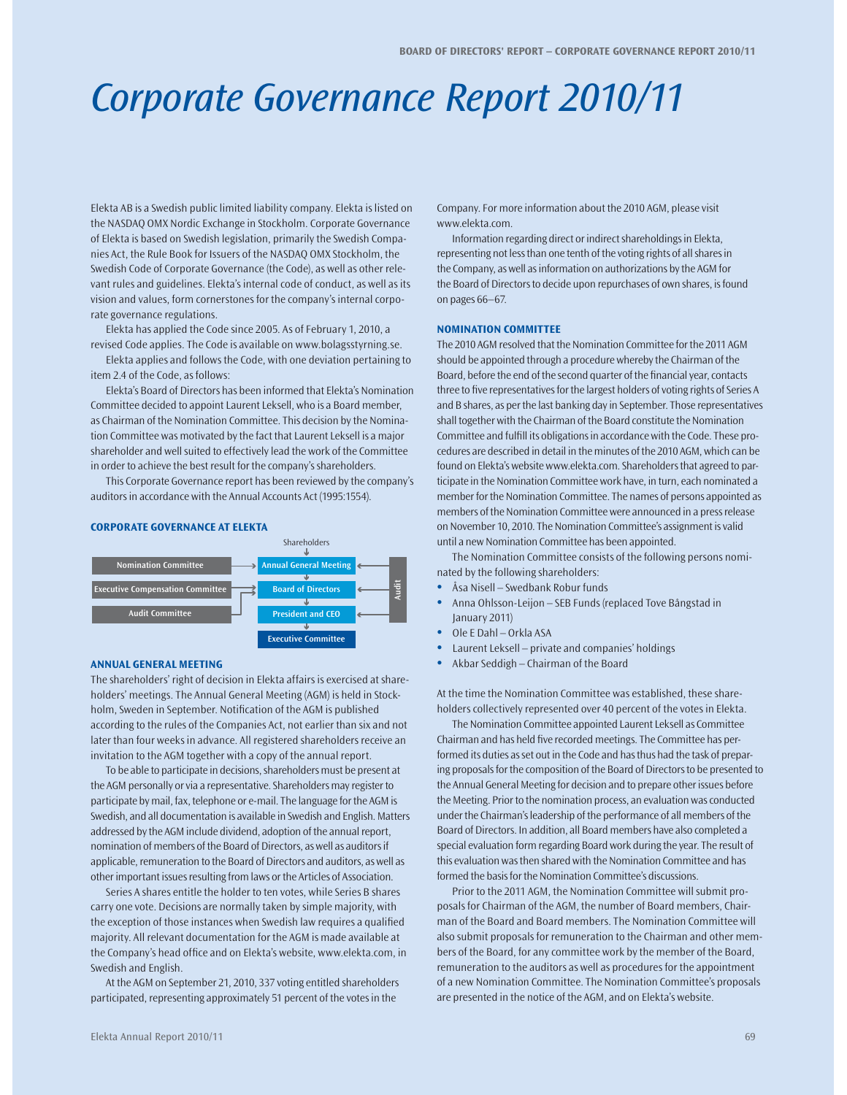## Corporate Governance Report 2010/11

Elekta AB is a Swedish public limited liability company. Elekta is listed on the NASDAQ OMX Nordic Exchange in Stockholm. Corporate Governance of Elekta is based on Swedish legislation, primarily the Swedish Companies Act, the Rule Book for Issuers of the NASDAQ OMX Stockholm, the Swedish Code of Corporate Governance (the Code), as well as other relevant rules and guidelines. Elekta's internal code of conduct, as well as its vision and values, form cornerstones for the company's internal corporate governance regulations.

Elekta has applied the Code since 2005. As of February 1, 2010, a revised Code applies. The Code is available on www.bolagsstyrning.se.

Elekta applies and follows the Code, with one deviation pertaining to item 2.4 of the Code, as follows:

Elekta's Board of Directors has been informed that Elekta's Nomination Committee decided to appoint Laurent Leksell, who is a Board member, as Chairman of the Nomination Committee. This decision by the Nomination Committee was motivated by the fact that Laurent Leksell is a major shareholder and well suited to effectively lead the work of the Committee in order to achieve the best result for the company's shareholders.

This Corporate Governance report has been reviewed by the company's auditors in accordance with the Annual Accounts Act (1995:1554).

#### **CORPORATE GOVERNANCE AT ELEKTA**



#### **ANNUAL GENERAL MEETING**

The shareholders' right of decision in Elekta affairs is exercised at shareholders' meetings. The Annual General Meeting (AGM) is held in Stockholm, Sweden in September. Notification of the AGM is published according to the rules of the Companies Act, not earlier than six and not later than four weeks in advance. All registered shareholders receive an invitation to the AGM together with a copy of the annual report.

To be able to participate in decisions, shareholders must be present at the AGM personally or via a representative. Shareholders may register to participate by mail, fax, telephone or e-mail. The language for the AGM is Swedish, and all documentation is available in Swedish and English. Matters addressed by the AGM include dividend, adoption of the annual report, nomination of members of the Board of Directors, as well as auditors if applicable, remuneration to the Board of Directors and auditors, as well as other important issues resulting from laws or the Articles of Association.

Series A shares entitle the holder to ten votes, while Series B shares carry one vote. Decisions are normally taken by simple majority, with the exception of those instances when Swedish law requires a qualified majority. All relevant documentation for the AGM is made available at the Company's head office and on Elekta's website, www.elekta.com, in Swedish and English.

At the AGM on September 21, 2010, 337 voting entitled shareholders participated, representing approximately 51 percent of the votes in the

Company. For more information about the 2010 AGM, please visit www.elekta.com.

Information regarding direct or indirect shareholdings in Elekta, representing not less than one tenth of the voting rights of all shares in the Company, as well as information on authorizations by the AGM for the Board of Directors to decide upon repurchases of own shares, is found on pages 66–67.

#### **NOMINATION COMMITTEE**

The 2010 AGM resolved that the Nomination Committee for the 2011 AGM should be appointed through a procedure whereby the Chairman of the Board, before the end of the second quarter of the financial year, contacts three to five representatives for the largest holders of voting rights of Series A and B shares, as per the last banking day in September. Those representatives shall together with the Chairman of the Board constitute the Nomination Committee and fulfill its obligations in accordance with the Code. These procedures are described in detail in the minutes of the 2010 AGM, which can be found on Elekta's website www.elekta.com. Shareholders that agreed to participate in the Nomination Committee work have, in turn, each nominated a member for the Nomination Committee. The names of persons appointed as members of the Nomination Committee were announced in a press release on November 10, 2010. The Nomination Committee's assignment is valid until a new Nomination Committee has been appointed.

The Nomination Committee consists of the following persons nominated by the following shareholders:

- **t** Åsa Nisell Swedbank Robur funds
- **t** Anna Ohlsson-Leijon SEB Funds (replaced Tove Bångstad in January 2011)
- **t** Ole E Dahl Orkla ASA
- **t** Laurent Leksell private and companies' holdings
- **t** Akbar Seddigh Chairman of the Board

At the time the Nomination Committee was established, these shareholders collectively represented over 40 percent of the votes in Elekta.

The Nomination Committee appointed Laurent Leksell as Committee Chairman and has held five recorded meetings. The Committee has performed its duties as set out in the Code and has thus had the task of preparing proposals for the composition of the Board of Directors to be presented to the Annual General Meeting for decision and to prepare other issues before the Meeting. Prior to the nomination process, an evaluation was conducted under the Chairman's leadership of the performance of all members of the Board of Directors. In addition, all Board members have also completed a special evaluation form regarding Board work during the year. The result of this evaluation was then shared with the Nomination Committee and has formed the basis for the Nomination Committee's discussions.

Prior to the 2011 AGM, the Nomination Committee will submit proposals for Chairman of the AGM, the number of Board members, Chairman of the Board and Board members. The Nomination Committee will also submit proposals for remuneration to the Chairman and other members of the Board, for any committee work by the member of the Board, remuneration to the auditors as well as procedures for the appointment of a new Nomination Committee. The Nomination Committee's proposals are presented in the notice of the AGM, and on Elekta's website.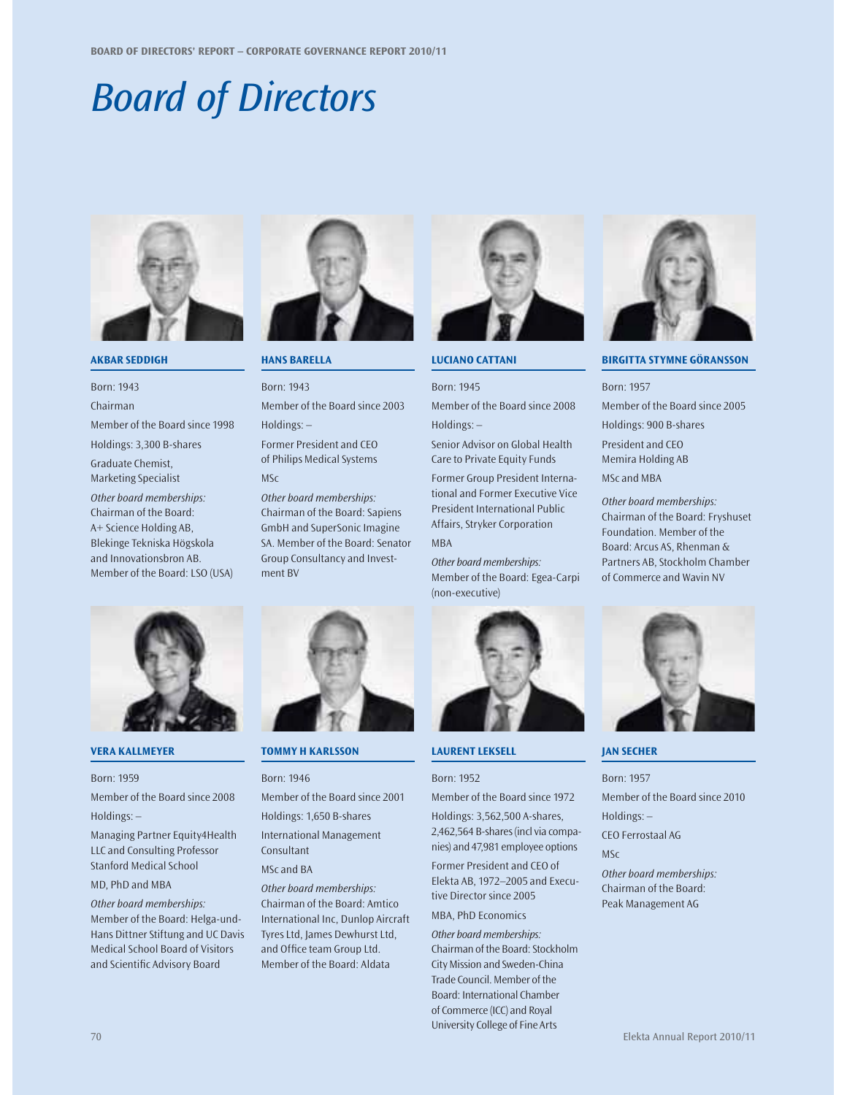# Board of Directors



#### **AKBAR SEDDIGH**

Born: 1943 Chairman

Member of the Board since 1998

Holdings: 3,300 B-shares Graduate Chemist, Marketing Specialist

Other board memberships: Chairman of the Board: A+ Science Holding AB, Blekinge Tekniska Högskola and Innovationsbron AB. Member of the Board: LSO (USA)



## **VERA KALLMEYER**

Born: 1959

Member of the Board since 2008 Holdings: –

Managing Partner Equity4Health LLC and Consulting Professor Stanford Medical School

MD, PhD and MBA

Other board memberships: Member of the Board: Helga-und-Hans Dittner Stiftung and UC Davis Medical School Board of Visitors and Scientific Advisory Board



**HANS BARELLA**

Born: 1943 Member of the Board since 2003 Holdings: –

Former President and CEO of Philips Medical Systems MSc

Other board memberships: Chairman of the Board: Sapiens GmbH and SuperSonic Imagine SA. Member of the Board: Senator Group Consultancy and Investment BV



#### **TOMMY H KARLSSON**

#### Born: 1946

Member of the Board since 2001 Holdings: 1,650 B-shares

International Management Consultant

MSc and BA

Other board memberships: Chairman of the Board: Amtico International Inc, Dunlop Aircraft Tyres Ltd, James Dewhurst Ltd, and Office team Group Ltd. Member of the Board: Aldata



**LUCIANO CATTANI**

## Born: 1945 Member of the Board since 2008

Holdings: –

Senior Advisor on Global Health Care to Private Equity Funds

Former Group President International and Former Executive Vice President International Public Affairs, Stryker Corporation

## MBA

Other board memberships: Member of the Board: Egea-Carpi (non-executive)



## **LAURENT LEKSELL**

#### Born: 1952

Member of the Board since 1972 Holdings: 3,562,500 A-shares, 2,462,564 B-shares (incl via companies) and 47,981 employee options

Former President and CEO of Elekta AB, 1972–2005 and Executive Director since 2005 MBA, PhD Economics

Other board memberships: Chairman of the Board: Stockholm City Mission and Sweden-China Trade Council. Member of the Board: International Chamber of Commerce (ICC) and Royal University College of Fine Arts



### **BIRGITTA STYMNE GÖRANSSON**

## Born: 1957 Member of the Board since 2005 Holdings: 900 B-shares President and CEO Memira Holding AB

MSc and MBA

Other board memberships: Chairman of the Board: Fryshuset Foundation. Member of the Board: Arcus AS, Rhenman & Partners AB, Stockholm Chamber of Commerce and Wavin NV



#### **JAN SECHER**

Born: 1957 Member of the Board since 2010 Holdings: – CEO Ferrostaal AG MSc

Other board memberships: Chairman of the Board: Peak Management AG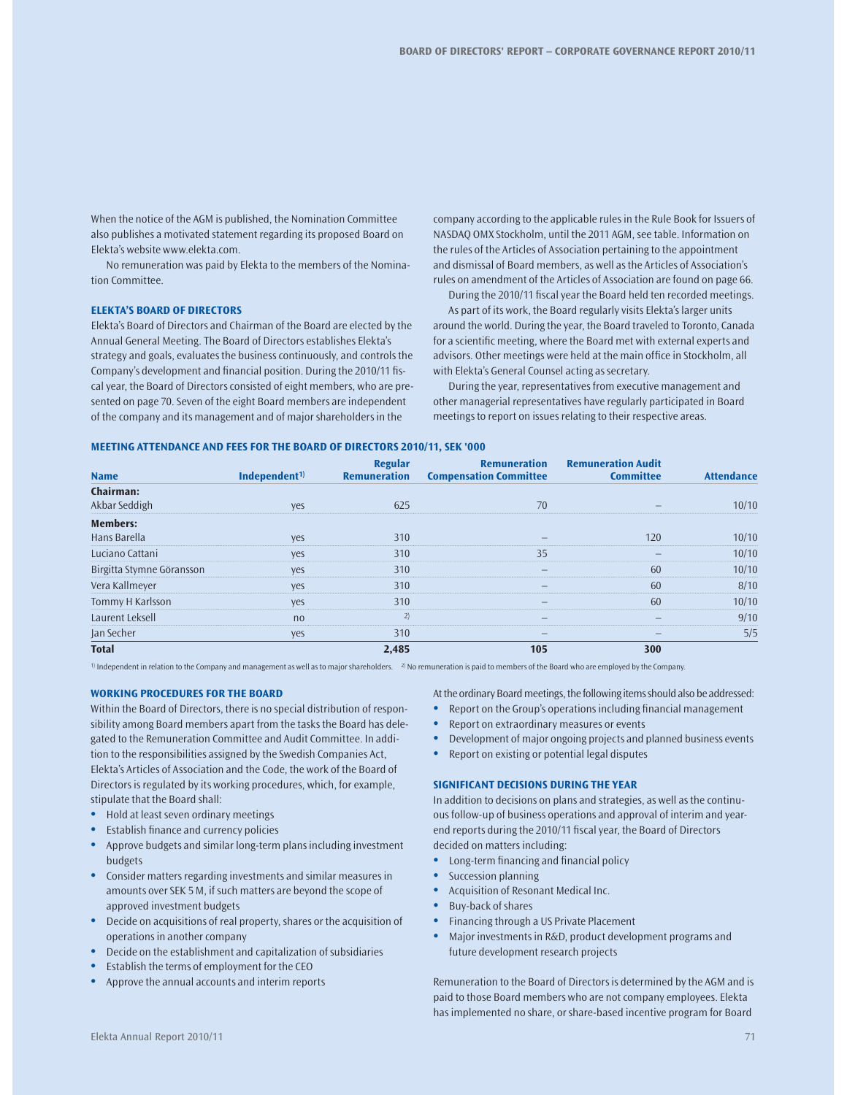When the notice of the AGM is published, the Nomination Committee also publishes a motivated statement regarding its proposed Board on Elekta's website www.elekta.com.

No remuneration was paid by Elekta to the members of the Nomination Committee.

#### **ELEKTA'S BOARD OF DIRECTORS**

Elekta's Board of Directors and Chairman of the Board are elected by the Annual General Meeting. The Board of Directors establishes Elekta's strategy and goals, evaluates the business continuously, and controls the Company's development and financial position. During the 2010/11 fiscal year, the Board of Directors consisted of eight members, who are presented on page 70. Seven of the eight Board members are independent of the company and its management and of major shareholders in the

company according to the applicable rules in the Rule Book for Issuers of NASDAQ OMX Stockholm, until the 2011 AGM, see table. Information on the rules of the Articles of Association pertaining to the appointment and dismissal of Board members, as well as the Articles of Association's rules on amendment of the Articles of Association are found on page 66.

During the 2010/11 fiscal year the Board held ten recorded meetings. As part of its work, the Board regularly visits Elekta's larger units around the world. During the year, the Board traveled to Toronto, Canada for a scientific meeting, where the Board met with external experts and advisors. Other meetings were held at the main office in Stockholm, all with Elekta's General Counsel acting as secretary.

During the year, representatives from executive management and other managerial representatives have regularly participated in Board meetings to report on issues relating to their respective areas.

#### **MEETING ATTENDANCE AND FEES FOR THE BOARD OF DIRECTORS 2010/11, SEK '000**

| <b>Name</b>               | Independent <sup>1)</sup> | Regular<br><b>Remuneration</b> | <b>Remuneration</b><br><b>Compensation Committee</b> | <b>Remuneration Audit</b><br><b>Committee</b> | <b>Attendance</b> |
|---------------------------|---------------------------|--------------------------------|------------------------------------------------------|-----------------------------------------------|-------------------|
|                           |                           |                                |                                                      |                                               |                   |
| <b>Chairman:</b>          |                           |                                |                                                      |                                               |                   |
| Akbar Seddigh             | yes                       | 625                            | 70                                                   |                                               | 10/10             |
| <b>Members:</b>           |                           |                                |                                                      |                                               |                   |
| Hans Barella              | <b>ves</b>                | 310                            |                                                      | 120                                           | 10/10             |
| Luciano Cattani           | yes                       | 310                            | 35                                                   |                                               | 10/10             |
| Birgitta Stymne Göransson | yes                       | 310                            |                                                      | 60                                            | 10/10             |
| Vera Kallmeyer            | yes                       | 310                            |                                                      | 60                                            | 8/10              |
| Tommy H Karlsson          | yes                       | 310                            |                                                      | 60                                            | 10/10             |
| Laurent Leksell           | no                        | 2)                             |                                                      |                                               | 9/10              |
| Jan Secher                | yes                       | 310                            |                                                      |                                               | 5/5               |
| <b>Total</b>              |                           | 2,485                          | 105                                                  | 300                                           |                   |

1) Independent in relation to the Company and management as well as to major shareholders. 2) No remuneration is paid to members of the Board who are employed by the Company.

#### **WORKING PROCEDURES FOR THE BOARD**

Within the Board of Directors, there is no special distribution of responsibility among Board members apart from the tasks the Board has delegated to the Remuneration Committee and Audit Committee. In addition to the responsibilities assigned by the Swedish Companies Act, Elekta's Articles of Association and the Code, the work of the Board of Directors is regulated by its working procedures, which, for example, stipulate that the Board shall:

- **•** Hold at least seven ordinary meetings
- **•** Establish finance and currency policies
- **t** Approve budgets and similar long-term plans including investment budgets
- **t** Consider matters regarding investments and similar measures in amounts over SEK 5 M, if such matters are beyond the scope of approved investment budgets
- **t** Decide on acquisitions of real property, shares or the acquisition of operations in another company
- **t** Decide on the establishment and capitalization of subsidiaries
- **•** Establish the terms of employment for the CEO
- **•** Approve the annual accounts and interim reports

At the ordinary Board meetings, the following items should also be addressed:

- **t** Report on the Group's operations including financial management
- **•** Report on extraordinary measures or events
- **t** Development of major ongoing projects and planned business events
- **•** Report on existing or potential legal disputes

#### **SIGNIFICANT DECISIONS DURING THE YEAR**

In addition to decisions on plans and strategies, as well as the continuous follow-up of business operations and approval of interim and yearend reports during the 2010/11 fiscal year, the Board of Directors decided on matters including:

- **t** Long-term financing and financial policy
- **Succession planning**
- **t** Acquisition of Resonant Medical Inc.
- **t** Buy-back of shares
- **t** Financing through a US Private Placement
- **t** Major investments in R&D, product development programs and future development research projects

Remuneration to the Board of Directors is determined by the AGM and is paid to those Board members who are not company employees. Elekta has implemented no share, or share-based incentive program for Board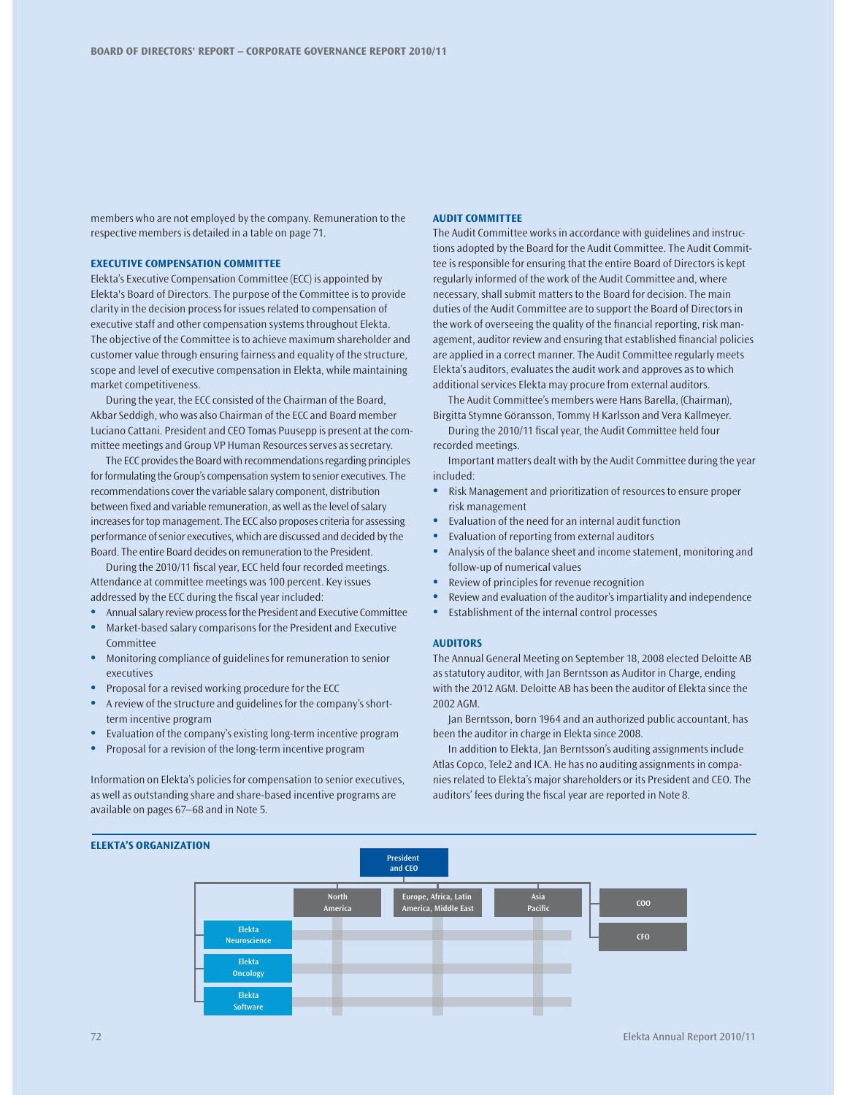members who are not employed by the company. Remuneration to the respective members is detailed in a table on page 71.

#### **EXECUTIVE COMPENSATION COMMITTEE**

Elekta's Executive Compensation Committee (ECC) is appointed by Elekta's Board of Directors. The purpose of the Committee is to provide clarity in the decision process for issues related to compensation of executive staff and other compensation systems throughout Elekta. The objective of the Committee is to achieve maximum shareholder and customer value through ensuring fairness and equality of the structure, scope and level of executive compensation in Elekta, while maintaining market competitiveness.

During the year, the ECC consisted of the Chairman of the Board, Akbar Seddigh, who was also Chairman of the ECC and Board member Luciano Cattani. President and CEO Tomas Puusepp is present at the committee meetings and Group VP Human Resources serves as secretary.

The ECC provides the Board with recommendations regarding principles for formulating the Group's compensation system to senior executives. The recommendations cover the variable salary component, distribution between fixed and variable remuneration, as well as the level of salary increases for top management. The ECC also proposes criteria for assessing performance of senior executives, which are discussed and decided by the Board. The entire Board decides on remuneration to the President.

During the 2010/11 fiscal year, ECC held four recorded meetings. Attendance at committee meetings was 100 percent. Key issues addressed by the ECC during the fiscal year included:

- **t** Annual salary review process for the President and Executive Committee
- **t** Market-based salary comparisons for the President and Executive Committee
- **t** Monitoring compliance of guidelines for remuneration to senior executives
- **t** Proposal for a revised working procedure for the ECC
- **•** A review of the structure and guidelines for the company's shortterm incentive program
- **•** Evaluation of the company's existing long-term incentive program
- **•** Proposal for a revision of the long-term incentive program

Information on Elekta's policies for compensation to senior executives, as well as outstanding share and share-based incentive programs are available on pages 67–68 and in Note 5.

#### **AUDIT COMMITTEE**

The Audit Committee works in accordance with guidelines and instructions adopted by the Board for the Audit Committee. The Audit Committee is responsible for ensuring that the entire Board of Directors is kept regularly informed of the work of the Audit Committee and, where necessary, shall submit matters to the Board for decision. The main duties of the Audit Committee are to support the Board of Directors in the work of overseeing the quality of the financial reporting, risk management, auditor review and ensuring that established financial policies are applied in a correct manner. The Audit Committee regularly meets Elekta's auditors, evaluates the audit work and approves as to which additional services Elekta may procure from external auditors.

The Audit Committee's members were Hans Barella, (Chairman), Birgitta Stymne Göransson, Tommy H Karlsson and Vera Kallmeyer.

During the 2010/11 fiscal year, the Audit Committee held four recorded meetings.

Important matters dealt with by the Audit Committee during the year included:

- **•** Risk Management and prioritization of resources to ensure proper risk management
- **•** Evaluation of the need for an internal audit function
- **t** Evaluation of reporting from external auditors
- **t** Analysis of the balance sheet and income statement, monitoring and follow-up of numerical values
- **•** Review of principles for revenue recognition
- **t** Review and evaluation of the auditor's impartiality and independence
- **t** Establishment of the internal control processes

#### **AUDITORS**

The Annual General Meeting on September 18, 2008 elected Deloitte AB as statutory auditor, with Jan Berntsson as Auditor in Charge, ending with the 2012 AGM. Deloitte AB has been the auditor of Elekta since the 2002 AGM.

Jan Berntsson, born 1964 and an authorized public accountant, has been the auditor in charge in Elekta since 2008.

In addition to Elekta, Jan Berntsson's auditing assignments include Atlas Copco, Tele2 and ICA. He has no auditing assignments in companies related to Elekta's major shareholders or its President and CEO. The auditors' fees during the fiscal year are reported in Note 8.

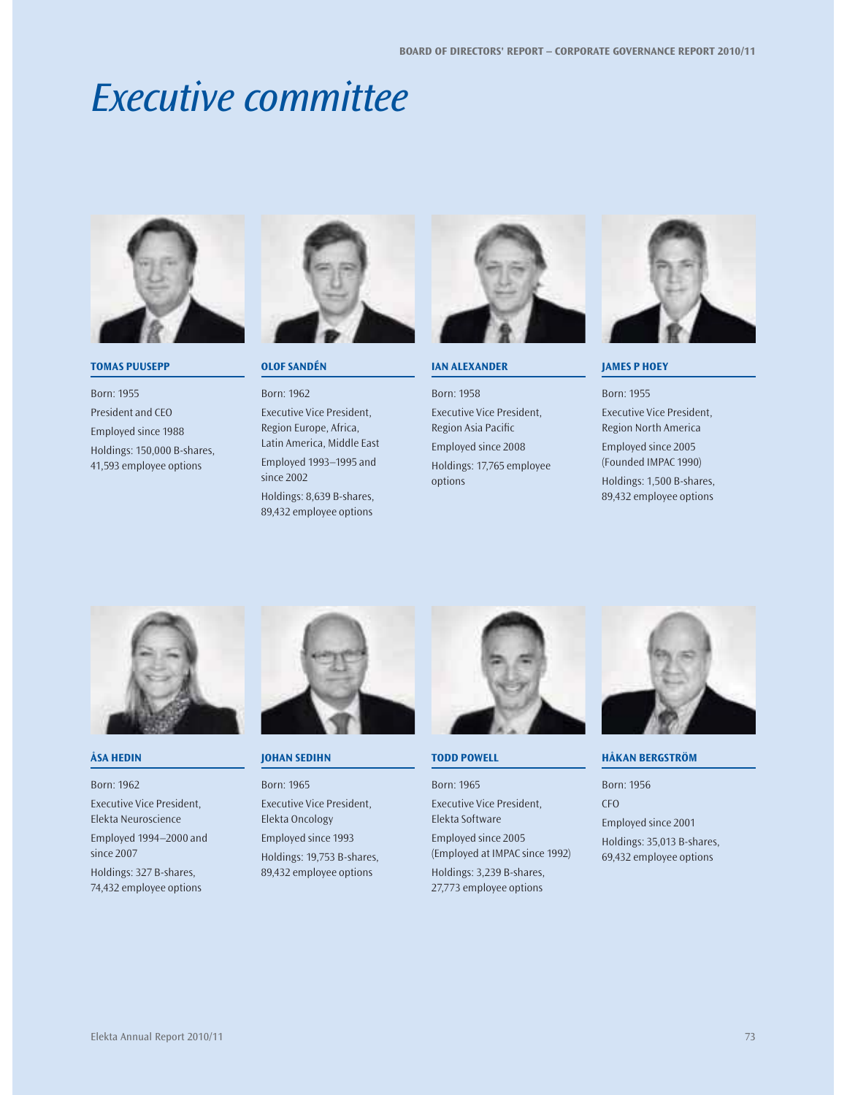## Executive committee



## **TOMAS PUUSEPP**

Born: 1955 President and CEO Employed since 1988 Holdings: 150,000 B-shares, 41,593 employee options



#### **OLOF SANDÉN**

Born: 1962 Executive Vice President, Region Europe, Africa, Latin America, Middle East Employed 1993–1995 and since 2002

Holdings: 8,639 B-shares, 89,432 employee options



## **IAN ALEXANDER**

Born: 1958

Executive Vice President, Region Asia Pacific

Employed since 2008

Holdings: 17,765 employee options



#### **JAMES P HOEY**

Born: 1955

Executive Vice President, Region North America

Employed since 2005 (Founded IMPAC 1990)

Holdings: 1,500 B-shares, 89,432 employee options



#### **ÅSA HEDIN**

Born: 1962 Executive Vice President, Elekta Neuroscience Employed 1994–2000 and since 2007 Holdings: 327 B-shares, 74,432 employee options



#### **JOHAN SEDIHN**

Born: 1965 Executive Vice President, Elekta Oncology Employed since 1993 Holdings: 19,753 B-shares, 89,432 employee options



## **TODD POWELL**

Born: 1965 Executive Vice President, Elekta Software Employed since 2005 (Employed at IMPAC since 1992) Holdings: 3,239 B-shares, 27,773 employee options



**HÅKAN BERGSTRÖM**

Born: 1956 CFO Employed since 2001 Holdings: 35,013 B-shares, 69,432 employee options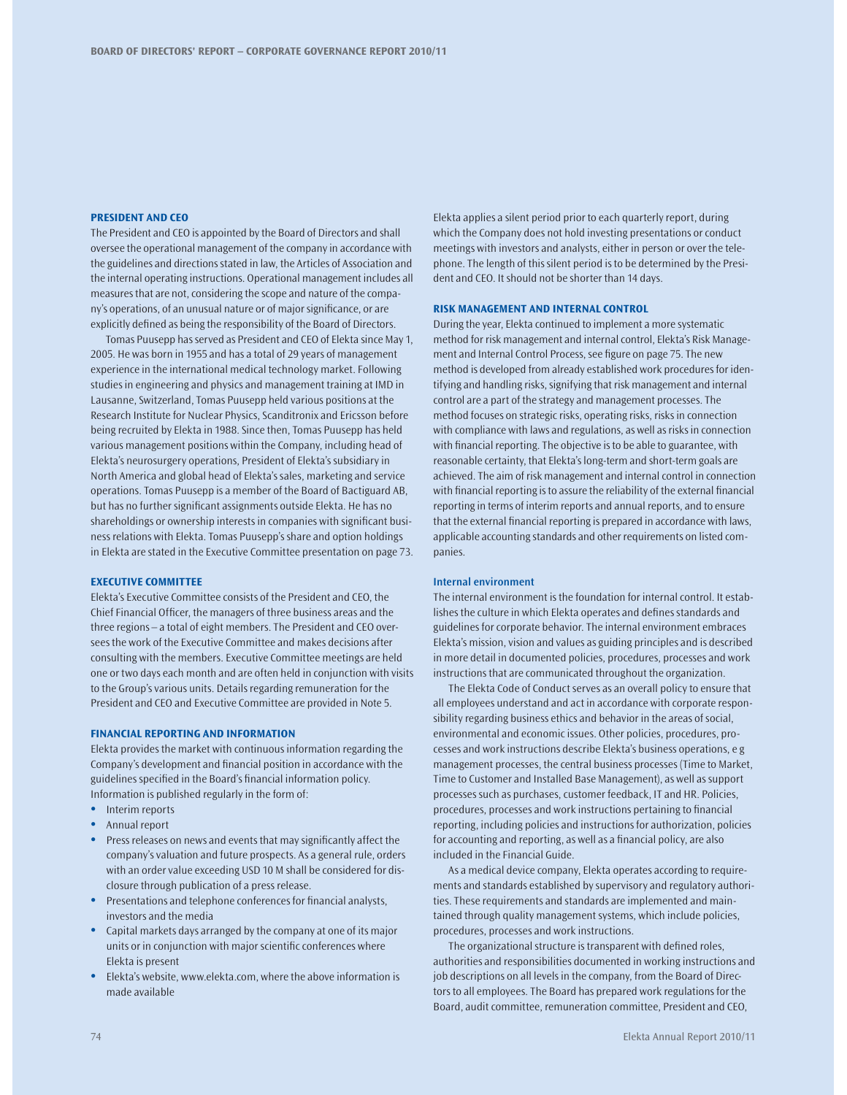#### **PRESIDENT AND CEO**

The President and CEO is appointed by the Board of Directors and shall oversee the operational management of the company in accordance with the guidelines and directions stated in law, the Articles of Association and the internal operating instructions. Operational management includes all measures that are not, considering the scope and nature of the company's operations, of an unusual nature or of major significance, or are explicitly defined as being the responsibility of the Board of Directors.

Tomas Puusepp has served as President and CEO of Elekta since May 1, 2005. He was born in 1955 and has a total of 29 years of management experience in the international medical technology market. Following studies in engineering and physics and management training at IMD in Lausanne, Switzerland, Tomas Puusepp held various positions at the Research Institute for Nuclear Physics, Scanditronix and Ericsson before being recruited by Elekta in 1988. Since then, Tomas Puusepp has held various management positions within the Company, including head of Elekta's neurosurgery operations, President of Elekta's subsidiary in North America and global head of Elekta's sales, marketing and service operations. Tomas Puusepp is a member of the Board of Bactiguard AB, but has no further significant assignments outside Elekta. He has no shareholdings or ownership interests in companies with significant business relations with Elekta. Tomas Puusepp's share and option holdings in Elekta are stated in the Executive Committee presentation on page 73.

#### **EXECUTIVE COMMITTEE**

Elekta's Executive Committee consists of the President and CEO, the Chief Financial Officer, the managers of three business areas and the three regions – a total of eight members. The President and CEO oversees the work of the Executive Committee and makes decisions after consulting with the members. Executive Committee meetings are held one or two days each month and are often held in conjunction with visits to the Group's various units. Details regarding remuneration for the President and CEO and Executive Committee are provided in Note 5.

#### **FINANCIAL REPORTING AND INFORMATION**

Elekta provides the market with continuous information regarding the Company's development and financial position in accordance with the guidelines specified in the Board's financial information policy. Information is published regularly in the form of:

- Interim reports
- **t** Annual report
- **t** Press releases on news and events that may significantly affect the company's valuation and future prospects. As a general rule, orders with an order value exceeding USD 10 M shall be considered for disclosure through publication of a press release.
- **t** Presentations and telephone conferences for financial analysts, investors and the media
- **t** Capital markets days arranged by the company at one of its major units or in conjunction with major scientific conferences where Elekta is present
- **t** Elekta's website, www.elekta.com, where the above information is made available

Elekta applies a silent period prior to each quarterly report, during which the Company does not hold investing presentations or conduct meetings with investors and analysts, either in person or over the telephone. The length of this silent period is to be determined by the President and CEO. It should not be shorter than 14 days.

#### **RISK MANAGEMENT AND INTERNAL CONTROL**

During the year, Elekta continued to implement a more systematic method for risk management and internal control, Elekta's Risk Management and Internal Control Process, see figure on page 75. The new method is developed from already established work procedures for identifying and handling risks, signifying that risk management and internal control are a part of the strategy and management processes. The method focuses on strategic risks, operating risks, risks in connection with compliance with laws and regulations, as well as risks in connection with financial reporting. The objective is to be able to guarantee, with reasonable certainty, that Elekta's long-term and short-term goals are achieved. The aim of risk management and internal control in connection with financial reporting is to assure the reliability of the external financial reporting in terms of interim reports and annual reports, and to ensure that the external financial reporting is prepared in accordance with laws, applicable accounting standards and other requirements on listed companies.

#### **Internal environment**

The internal environment is the foundation for internal control. It establishes the culture in which Elekta operates and defines standards and guidelines for corporate behavior. The internal environment embraces Elekta's mission, vision and values as guiding principles and is described in more detail in documented policies, procedures, processes and work instructions that are communicated throughout the organization.

The Elekta Code of Conduct serves as an overall policy to ensure that all employees understand and act in accordance with corporate responsibility regarding business ethics and behavior in the areas of social, environmental and economic issues. Other policies, procedures, processes and work instructions describe Elekta's business operations, e g management processes, the central business processes (Time to Market, Time to Customer and Installed Base Management), as well as support processes such as purchases, customer feedback, IT and HR. Policies, procedures, processes and work instructions pertaining to financial reporting, including policies and instructions for authorization, policies for accounting and reporting, as well as a financial policy, are also included in the Financial Guide.

As a medical device company, Elekta operates according to requirements and standards established by supervisory and regulatory authorities. These requirements and standards are implemented and maintained through quality management systems, which include policies, procedures, processes and work instructions.

The organizational structure is transparent with defined roles, authorities and responsibilities documented in working instructions and job descriptions on all levels in the company, from the Board of Directors to all employees. The Board has prepared work regulations for the Board, audit committee, remuneration committee, President and CEO,